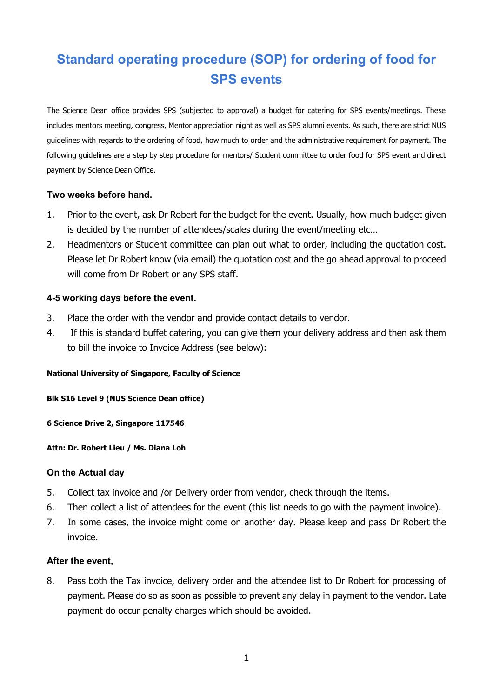# **Standard operating procedure (SOP) for ordering of food for SPS events**

The Science Dean office provides SPS (subjected to approval) a budget for catering for SPS events/meetings. These includes mentors meeting, congress, Mentor appreciation night as well as SPS alumni events. As such, there are strict NUS guidelines with regards to the ordering of food, how much to order and the administrative requirement for payment. The following guidelines are a step by step procedure for mentors/ Student committee to order food for SPS event and direct payment by Science Dean Office.

# **Two weeks before hand.**

- 1. Prior to the event, ask Dr Robert for the budget for the event. Usually, how much budget given is decided by the number of attendees/scales during the event/meeting etc…
- 2. Headmentors or Student committee can plan out what to order, including the quotation cost. Please let Dr Robert know (via email) the quotation cost and the go ahead approval to proceed will come from Dr Robert or any SPS staff.

# **4-5 working days before the event.**

- 3. Place the order with the vendor and provide contact details to vendor.
- 4. If this is standard buffet catering, you can give them your delivery address and then ask them to bill the invoice to Invoice Address (see below):

# **National University of Singapore, Faculty of Science**

#### **Blk S16 Level 9 (NUS Science Dean office)**

**6 Science Drive 2, Singapore 117546**

#### **Attn: Dr. Robert Lieu / Ms. Diana Loh**

# **On the Actual day**

- 5. Collect tax invoice and /or Delivery order from vendor, check through the items.
- 6. Then collect a list of attendees for the event (this list needs to go with the payment invoice).
- 7. In some cases, the invoice might come on another day. Please keep and pass Dr Robert the invoice.

# **After the event,**

8. Pass both the Tax invoice, delivery order and the attendee list to Dr Robert for processing of payment. Please do so as soon as possible to prevent any delay in payment to the vendor. Late payment do occur penalty charges which should be avoided.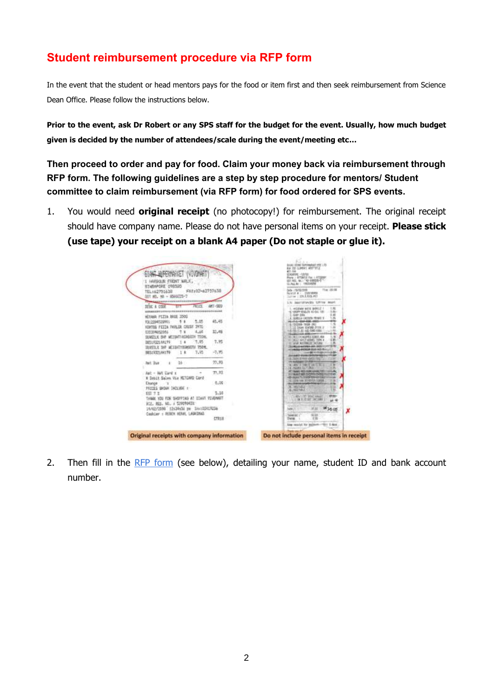# **Student reimbursement procedure via RFP form**

In the event that the student or head mentors pays for the food or item first and then seek reimbursement from Science Dean Office. Please follow the instructions below.

**Prior to the event, ask Dr Robert or any SPS staff for the budget for the event. Usually, how much budget given is decided by the number of attendees/scale during the event/meeting etc…**

**Then proceed to order and pay for food. Claim your money back via reimbursement through RFP form. The following guidelines are a step by step procedure for mentors/ Student committee to claim reimbursement (via RFP form) for food ordered for SPS events.**

1. You would need **original receipt** (no photocopy!) for reimbursement. The original receipt should have company name. Please do not have personal items on your receipt. **Please stick (use tape) your receipt on a blank A4 paper (Do not staple or glue it).**

| GIANT ADPERMANCE (VIVONAR)<br>HARSOUR FRONT MR.K.<br>STABAPORE ORBSBS                                                                                                                                                                              |                | <b>IDIGARDIE - FJORIE</b><br>Rona / BTTMYLE Fax - GTI32MF<br><b><i>STAIL M.I. WARREN</i></b><br>GUNAL REL. 19931FERE<br><b>EXAMPLE ENTERTAIN</b>                                                                                                           |
|----------------------------------------------------------------------------------------------------------------------------------------------------------------------------------------------------------------------------------------------------|----------------|------------------------------------------------------------------------------------------------------------------------------------------------------------------------------------------------------------------------------------------------------------|
| FAX:02-42757638<br>TEL:162751630<br>201 NO. NO. - ROUNDS-7                                                                                                                                                                                         |                | 71ac 180108<br><b>Codu</b> PENTIQUIDITI<br>Norter & C. Eldroment<br>LUTTER 1: SEN R. P.O. FOR                                                                                                                                                              |
| Presence and a summer state and it is stat-                                                                                                                                                                                                        | ANT-SED        | mercurishies contain bear                                                                                                                                                                                                                                  |
| 作业区<br>DEBC & COSE<br>USSAULTET UNTER TUTTER ANA KATA ATA 2 A GAN A GAN A GA ALAM<br>HEVAIA PIZZA BREE 2003<br>5.15<br>1312394529901<br>q.<br>۰<br>KONTEG PIZZA PAULOR CHUST INTO<br>4,14<br>030394052094<br>÷<br>SUVEILN OH! WEIGHT/ASHGGDH 750HL | 45,45<br>17.46 | HOTAM MEX SONLY<br>49549-4250.70 KG-0AL 18<br>1.66-<br><b>AIDP 25%</b><br>$-16$<br>NUMBER CROSSING FRANCISCO<br>DOXIS 1938-261<br>IT DON HAUGH SIDE<br>E183.PT RT HZ 266-120<br>78<br><b>NUMERIA CONTROL CONTROL</b><br>36<br>W.L.C. NATLE ADDRESS CORN. 4 |
| 7.95<br>2031932144179<br>14                                                                                                                                                                                                                        | 7.95           | $-100$<br>and Northel III (ACCAN                                                                                                                                                                                                                           |
| 750 N.<br>MARTILY THE HEIGHTYSTROOTH<br>7.错<br>9851972544179<br>18                                                                                                                                                                                 | $-7.35$        | <b>DOMESTICAL STATE AND</b><br>                                                                                                                                                                                                                            |
|                                                                                                                                                                                                                                                    |                | <b><i>COMPTON COMPANY</i></b><br>JULY 8 HWY (US)                                                                                                                                                                                                           |
| lat ba<br>ъ<br>18                                                                                                                                                                                                                                  | 77.93          | <b>TITOTTI ILLINOIS</b><br><b>RN 2-1961E 2811 3</b><br>×                                                                                                                                                                                                   |
| Aut + WA Card ±<br>* Debit Sales Via KETCHRD Card                                                                                                                                                                                                  | 77,32          | <b>NGTH ALT JNT</b>                                                                                                                                                                                                                                        |
| Change<br>$-1$<br>PRECES SHOWN INCLUDE 1                                                                                                                                                                                                           | 0.00           | <b>SPA HALSO RIGHTS CONFIRM</b><br>ж<br>MOTHER                                                                                                                                                                                                             |
| <b>197 % #</b><br>THAN YOU FOR SHOPPING AT GOANY VIVONARY<br>F.Z. His. M., r 528090421                                                                                                                                                             | 1.14           | ы<br><b>PERTAIL</b><br>APA 1272 THE LANGER<br><b>OF Y. IS WIT LACTARE</b><br>ser dD                                                                                                                                                                        |
| 14/02/2000 12:34:36 pm 3m/102417238<br>Cookday + RUSCH RERAL LAGASTAG                                                                                                                                                                              | CTR18          | 1135<br><b>M36.05</b><br>x<br>9230<br><b><i>Constally</i></b><br>ww                                                                                                                                                                                        |
|                                                                                                                                                                                                                                                    |                | 1.00000110100101110127370<br>ling you'ld for ancessed "Third & days                                                                                                                                                                                        |

2. Then fill in the [RFP form](https://drive.google.com/file/d/1kN973f0XGpX5pUhUbHnbzrVcv3yCAkeJ/view?usp=sharing) (see below), detailing your name, student ID and bank account number.